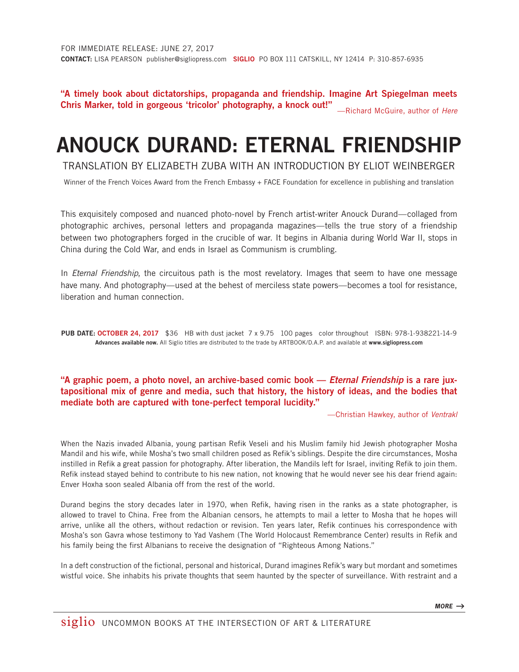"A timely book about dictatorships, propaganda and friendship. Imagine Art Spiegelman meets Chris Marker, told in gorgeous 'tricolor' photography, a knock out!" —Richard McGuire, author of *Here*

## ANOUCK DURAND: ETERNAL FRIENDSHIP

TRANSLATION BY ELIZABETH ZUBA WITH AN INTRODUCTION BY ELIOT WEINBERGER

Winner of the French Voices Award from the French Embassy + FACE Foundation for excellence in publishing and translation

This exquisitely composed and nuanced photo-novel by French artist-writer Anouck Durand—collaged from photographic archives, personal letters and propaganda magazines—tells the true story of a friendship between two photographers forged in the crucible of war. It begins in Albania during World War II, stops in China during the Cold War, and ends in Israel as Communism is crumbling.

In *Eternal Friendship*, the circuitous path is the most revelatory. Images that seem to have one message have many. And photography—used at the behest of merciless state powers—becomes a tool for resistance, liberation and human connection.

PUB DATE: OCTOBER 24, 2017 \$36 HB with dust jacket 7 x 9.75 100 pages color throughout ISBN: 978-1-938221-14-9 Advances available now. All Siglio titles are distributed to the trade by ARTBOOK/D.A.P. and available at www.sigliopress.com

## "A graphic poem, a photo novel, an archive-based comic book — *Eternal Friendship* is a rare juxtapositional mix of genre and media, such that history, the history of ideas, and the bodies that mediate both are captured with tone-perfect temporal lucidity."

—Christian Hawkey, author of *Ventrakl*

When the Nazis invaded Albania, young partisan Refik Veseli and his Muslim family hid Jewish photographer Mosha Mandil and his wife, while Mosha's two small children posed as Refik's siblings. Despite the dire circumstances, Mosha instilled in Refik a great passion for photography. After liberation, the Mandils left for Israel, inviting Refik to join them. Refik instead stayed behind to contribute to his new nation, not knowing that he would never see his dear friend again: Enver Hoxha soon sealed Albania off from the rest of the world.

Durand begins the story decades later in 1970, when Refik, having risen in the ranks as a state photographer, is allowed to travel to China. Free from the Albanian censors, he attempts to mail a letter to Mosha that he hopes will arrive, unlike all the others, without redaction or revision. Ten years later, Refik continues his correspondence with Mosha's son Gavra whose testimony to Yad Vashem (The World Holocaust Remembrance Center) results in Refik and his family being the first Albanians to receive the designation of "Righteous Among Nations."

In a deft construction of the fictional, personal and historical, Durand imagines Refik's wary but mordant and sometimes wistful voice. She inhabits his private thoughts that seem haunted by the specter of surveillance. With restraint and a